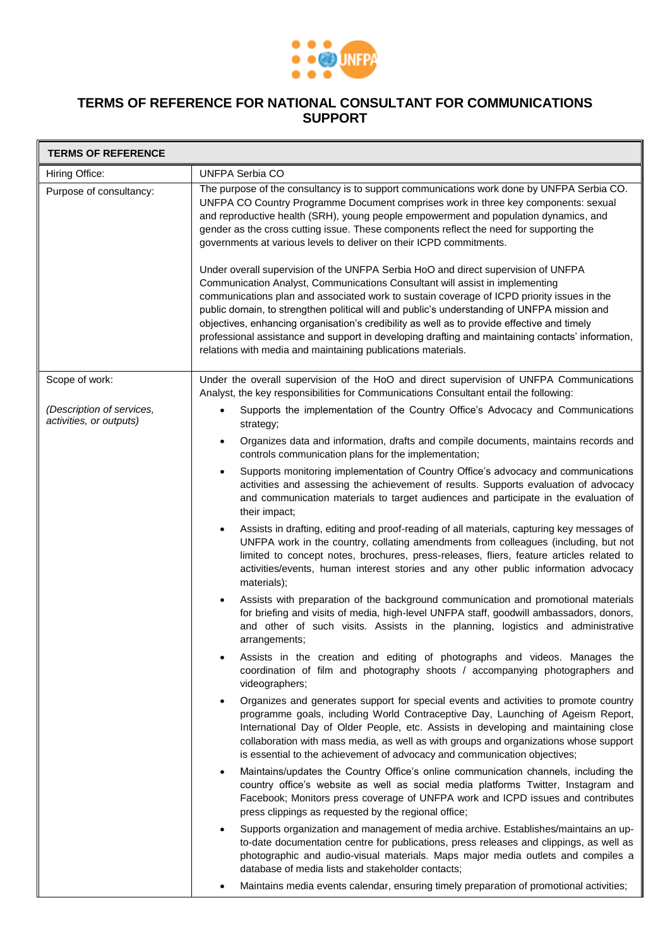

## **TERMS OF REFERENCE FOR NATIONAL CONSULTANT FOR COMMUNICATIONS SUPPORT**

| <b>TERMS OF REFERENCE</b>                            |                                                                                                                                                                                                                                                                                                                                                                                                                                                                                                                                                                                                                                    |  |
|------------------------------------------------------|------------------------------------------------------------------------------------------------------------------------------------------------------------------------------------------------------------------------------------------------------------------------------------------------------------------------------------------------------------------------------------------------------------------------------------------------------------------------------------------------------------------------------------------------------------------------------------------------------------------------------------|--|
| Hiring Office:                                       | <b>UNFPA Serbia CO</b>                                                                                                                                                                                                                                                                                                                                                                                                                                                                                                                                                                                                             |  |
| Purpose of consultancy:                              | The purpose of the consultancy is to support communications work done by UNFPA Serbia CO.<br>UNFPA CO Country Programme Document comprises work in three key components: sexual<br>and reproductive health (SRH), young people empowerment and population dynamics, and<br>gender as the cross cutting issue. These components reflect the need for supporting the<br>governments at various levels to deliver on their ICPD commitments.                                                                                                                                                                                          |  |
|                                                      | Under overall supervision of the UNFPA Serbia HoO and direct supervision of UNFPA<br>Communication Analyst, Communications Consultant will assist in implementing<br>communications plan and associated work to sustain coverage of ICPD priority issues in the<br>public domain, to strengthen political will and public's understanding of UNFPA mission and<br>objectives, enhancing organisation's credibility as well as to provide effective and timely<br>professional assistance and support in developing drafting and maintaining contacts' information,<br>relations with media and maintaining publications materials. |  |
| Scope of work:                                       | Under the overall supervision of the HoO and direct supervision of UNFPA Communications<br>Analyst, the key responsibilities for Communications Consultant entail the following:                                                                                                                                                                                                                                                                                                                                                                                                                                                   |  |
| (Description of services,<br>activities, or outputs) | Supports the implementation of the Country Office's Advocacy and Communications<br>$\bullet$<br>strategy;                                                                                                                                                                                                                                                                                                                                                                                                                                                                                                                          |  |
|                                                      | Organizes data and information, drafts and compile documents, maintains records and<br>controls communication plans for the implementation;                                                                                                                                                                                                                                                                                                                                                                                                                                                                                        |  |
|                                                      | Supports monitoring implementation of Country Office's advocacy and communications<br>$\bullet$<br>activities and assessing the achievement of results. Supports evaluation of advocacy<br>and communication materials to target audiences and participate in the evaluation of<br>their impact;                                                                                                                                                                                                                                                                                                                                   |  |
|                                                      | Assists in drafting, editing and proof-reading of all materials, capturing key messages of<br>$\bullet$<br>UNFPA work in the country, collating amendments from colleagues (including, but not<br>limited to concept notes, brochures, press-releases, fliers, feature articles related to<br>activities/events, human interest stories and any other public information advocacy<br>materials);                                                                                                                                                                                                                                   |  |
|                                                      | Assists with preparation of the background communication and promotional materials<br>$\bullet$<br>for briefing and visits of media, high-level UNFPA staff, goodwill ambassadors, donors,<br>and other of such visits. Assists in the planning, logistics and administrative<br>arrangements;                                                                                                                                                                                                                                                                                                                                     |  |
|                                                      | Assists in the creation and editing of photographs and videos. Manages the<br>coordination of film and photography shoots / accompanying photographers and<br>videographers;                                                                                                                                                                                                                                                                                                                                                                                                                                                       |  |
|                                                      | Organizes and generates support for special events and activities to promote country<br>$\bullet$<br>programme goals, including World Contraceptive Day, Launching of Ageism Report,<br>International Day of Older People, etc. Assists in developing and maintaining close<br>collaboration with mass media, as well as with groups and organizations whose support<br>is essential to the achievement of advocacy and communication objectives;                                                                                                                                                                                  |  |
|                                                      | Maintains/updates the Country Office's online communication channels, including the<br>country office's website as well as social media platforms Twitter, Instagram and<br>Facebook; Monitors press coverage of UNFPA work and ICPD issues and contributes<br>press clippings as requested by the regional office;                                                                                                                                                                                                                                                                                                                |  |
|                                                      | Supports organization and management of media archive. Establishes/maintains an up-<br>to-date documentation centre for publications, press releases and clippings, as well as<br>photographic and audio-visual materials. Maps major media outlets and compiles a<br>database of media lists and stakeholder contacts;                                                                                                                                                                                                                                                                                                            |  |
|                                                      | Maintains media events calendar, ensuring timely preparation of promotional activities;                                                                                                                                                                                                                                                                                                                                                                                                                                                                                                                                            |  |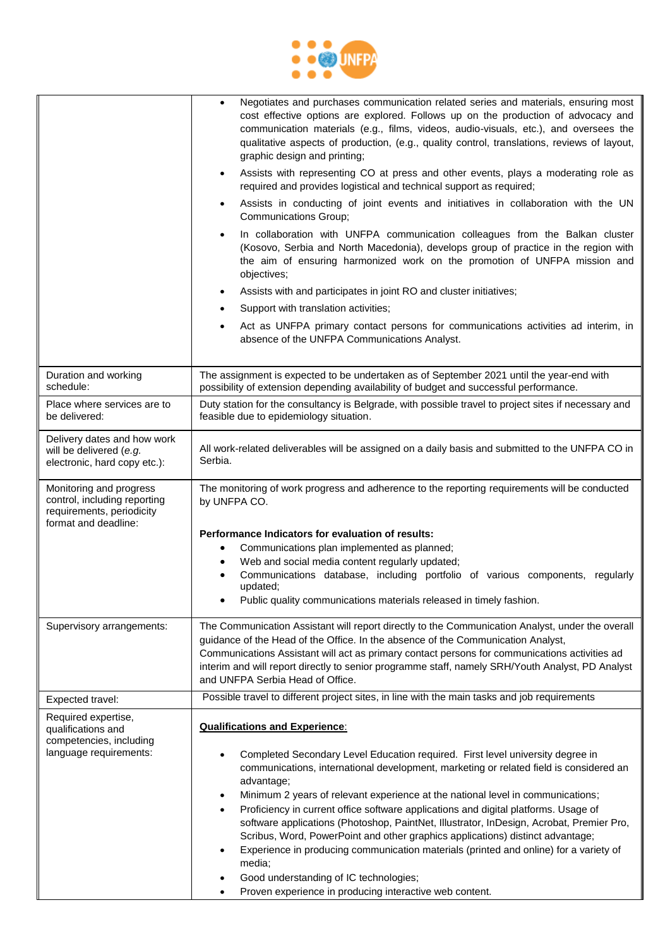

|                                                                                                              | Negotiates and purchases communication related series and materials, ensuring most<br>$\bullet$<br>cost effective options are explored. Follows up on the production of advocacy and<br>communication materials (e.g., films, videos, audio-visuals, etc.), and oversees the<br>qualitative aspects of production, (e.g., quality control, translations, reviews of layout,<br>graphic design and printing;<br>Assists with representing CO at press and other events, plays a moderating role as<br>required and provides logistical and technical support as required;<br>Assists in conducting of joint events and initiatives in collaboration with the UN<br>$\bullet$<br>Communications Group;<br>In collaboration with UNFPA communication colleagues from the Balkan cluster<br>(Kosovo, Serbia and North Macedonia), develops group of practice in the region with<br>the aim of ensuring harmonized work on the promotion of UNFPA mission and<br>objectives;<br>Assists with and participates in joint RO and cluster initiatives;<br>Support with translation activities;<br>Act as UNFPA primary contact persons for communications activities ad interim, in<br>absence of the UNFPA Communications Analyst. |
|--------------------------------------------------------------------------------------------------------------|----------------------------------------------------------------------------------------------------------------------------------------------------------------------------------------------------------------------------------------------------------------------------------------------------------------------------------------------------------------------------------------------------------------------------------------------------------------------------------------------------------------------------------------------------------------------------------------------------------------------------------------------------------------------------------------------------------------------------------------------------------------------------------------------------------------------------------------------------------------------------------------------------------------------------------------------------------------------------------------------------------------------------------------------------------------------------------------------------------------------------------------------------------------------------------------------------------------------------|
| Duration and working                                                                                         | The assignment is expected to be undertaken as of September 2021 until the year-end with                                                                                                                                                                                                                                                                                                                                                                                                                                                                                                                                                                                                                                                                                                                                                                                                                                                                                                                                                                                                                                                                                                                                   |
| schedule:<br>Place where services are to                                                                     | possibility of extension depending availability of budget and successful performance.<br>Duty station for the consultancy is Belgrade, with possible travel to project sites if necessary and                                                                                                                                                                                                                                                                                                                                                                                                                                                                                                                                                                                                                                                                                                                                                                                                                                                                                                                                                                                                                              |
| be delivered:                                                                                                | feasible due to epidemiology situation.                                                                                                                                                                                                                                                                                                                                                                                                                                                                                                                                                                                                                                                                                                                                                                                                                                                                                                                                                                                                                                                                                                                                                                                    |
| Delivery dates and how work<br>will be delivered (e.g.<br>electronic, hard copy etc.):                       | All work-related deliverables will be assigned on a daily basis and submitted to the UNFPA CO in<br>Serbia.                                                                                                                                                                                                                                                                                                                                                                                                                                                                                                                                                                                                                                                                                                                                                                                                                                                                                                                                                                                                                                                                                                                |
| Monitoring and progress<br>control, including reporting<br>requirements, periodicity<br>format and deadline: | The monitoring of work progress and adherence to the reporting requirements will be conducted<br>by UNFPA CO.<br>Performance Indicators for evaluation of results:<br>Communications plan implemented as planned;<br>$\bullet$<br>Web and social media content regularly updated;                                                                                                                                                                                                                                                                                                                                                                                                                                                                                                                                                                                                                                                                                                                                                                                                                                                                                                                                          |
|                                                                                                              | Communications database, including portfolio of various components, regularly<br>updated;<br>Public quality communications materials released in timely fashion.                                                                                                                                                                                                                                                                                                                                                                                                                                                                                                                                                                                                                                                                                                                                                                                                                                                                                                                                                                                                                                                           |
| Supervisory arrangements:                                                                                    | The Communication Assistant will report directly to the Communication Analyst, under the overall<br>guidance of the Head of the Office. In the absence of the Communication Analyst,<br>Communications Assistant will act as primary contact persons for communications activities ad<br>interim and will report directly to senior programme staff, namely SRH/Youth Analyst, PD Analyst<br>and UNFPA Serbia Head of Office.                                                                                                                                                                                                                                                                                                                                                                                                                                                                                                                                                                                                                                                                                                                                                                                              |
| Expected travel:                                                                                             | Possible travel to different project sites, in line with the main tasks and job requirements                                                                                                                                                                                                                                                                                                                                                                                                                                                                                                                                                                                                                                                                                                                                                                                                                                                                                                                                                                                                                                                                                                                               |
| Required expertise,<br>qualifications and<br>competencies, including<br>language requirements:               | <b>Qualifications and Experience:</b><br>Completed Secondary Level Education required. First level university degree in<br>communications, international development, marketing or related field is considered an<br>advantage;<br>Minimum 2 years of relevant experience at the national level in communications;<br>Proficiency in current office software applications and digital platforms. Usage of<br>software applications (Photoshop, PaintNet, Illustrator, InDesign, Acrobat, Premier Pro,<br>Scribus, Word, PowerPoint and other graphics applications) distinct advantage;<br>Experience in producing communication materials (printed and online) for a variety of<br>$\bullet$<br>media;<br>Good understanding of IC technologies;<br>Proven experience in producing interactive web content.                                                                                                                                                                                                                                                                                                                                                                                                               |